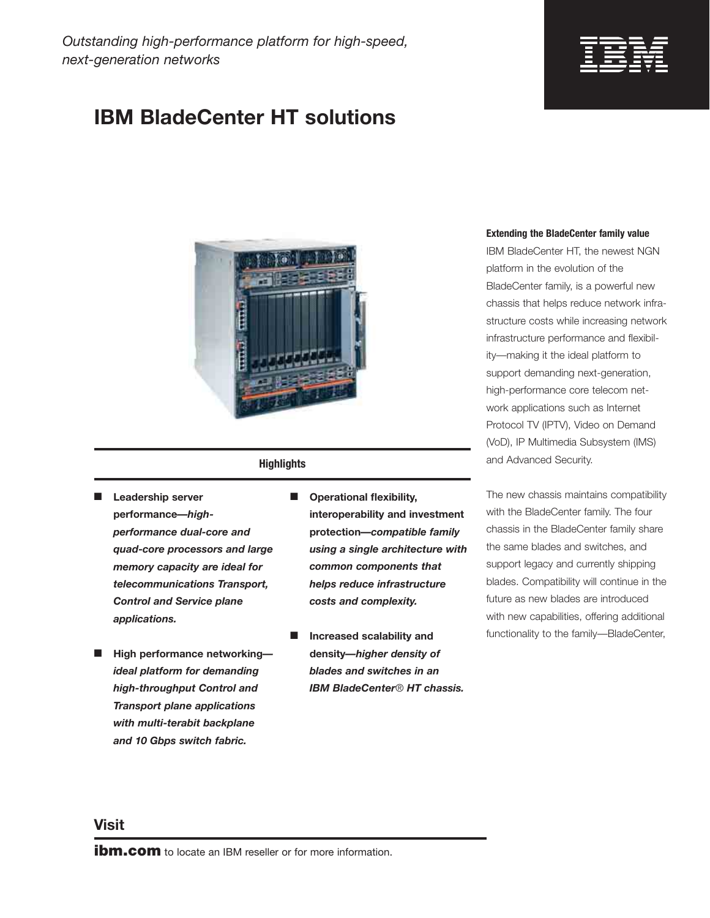# **IBM BladeCenter HT solutions**



### **Highlights**

- **Leadership server performance***—highperformance dual-core and quad-core processors and large memory capacity are ideal for telecommunications Transport, Control and Service plane applications.*
- **High performance networking** *ideal platform for demanding high-throughput Control and Transport plane applications with multi-terabit backplane and 10 Gbps switch fabric.*
- **Operational flexibility, interoperability and investment protection***—compatible family using a single architecture with common components that helps reduce infrastructure costs and complexity.*
- **Increased scalability and density***—higher density of blades and switches in an IBM BladeCenter*® *HT chassis.*

#### **Extending the BladeCenter family value**

IBM BladeCenter HT, the newest NGN platform in the evolution of the BladeCenter family, is a powerful new chassis that helps reduce network infrastructure costs while increasing network infrastructure performance and flexibility—making it the ideal platform to support demanding next-generation, high-performance core telecom network applications such as Internet Protocol TV (IPTV), Video on Demand (VoD), IP Multimedia Subsystem (IMS) and Advanced Security.

The new chassis maintains compatibility with the BladeCenter family. The four chassis in the BladeCenter family share the same blades and switches, and support legacy and currently shipping blades. Compatibility will continue in the future as new blades are introduced with new capabilities, offering additional functionality to the family—BladeCenter,

### **Visit**

**ibm.com** to locate an IBM reseller or for more information.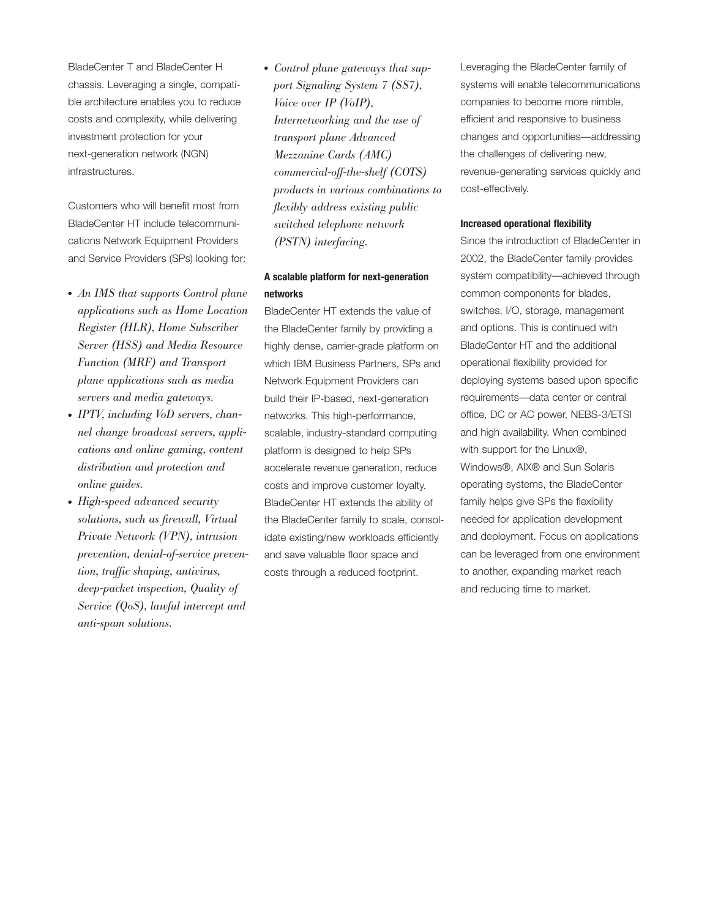BladeCenter T and BladeCenter H chassis. Leveraging a single, compatible architecture enables you to reduce costs and complexity, while delivering investment protection for your next-generation network (NGN) infrastructures.

Customers who will benefit most from BladeCenter HT include telecommunications Network Equipment Providers and Service Providers (SPs) looking for:

- *An IMS that supports Control plane applications such as Home Location Register (HLR), Home Subscriber Server (HSS) and Media Resource Function (MRF) and Transport plane applications such as media servers and media gateways.*
- *IPTV, including VoD servers, channel change broadcast servers, applications and online gaming, content distribution and protection and online guides.*
- *High-speed advanced security solutions, such as firewall, Virtual Private Network (VPN), intrusion prevention, denial-of-service prevention, traffic shaping, antivirus, deep-packet inspection, Quality of Service (QoS), lawful intercept and anti-spam solutions.*

● *Control plane gateways that support Signaling System 7 (SS7), Voice over IP (VoIP), Internetworking and the use of transport plane Advanced Mezzanine Cards (AMC) commercial-off-the-shelf (COTS) products in various combinations to flexibly address existing public switched telephone network (PSTN) interfacing.*

### **A scalable platform for next-generation networks**

BladeCenter HT extends the value of the BladeCenter family by providing a highly dense, carrier-grade platform on which IBM Business Partners, SPs and Network Equipment Providers can build their IP-based, next-generation networks. This high-performance, scalable, industry-standard computing platform is designed to help SPs accelerate revenue generation, reduce costs and improve customer loyalty. BladeCenter HT extends the ability of the BladeCenter family to scale, consolidate existing/new workloads efficiently and save valuable floor space and costs through a reduced footprint.

Leveraging the BladeCenter family of systems will enable telecommunications companies to become more nimble, efficient and responsive to business changes and opportunities—addressing the challenges of delivering new, revenue-generating services quickly and cost-effectively.

#### **Increased operational flexibility**

Since the introduction of BladeCenter in 2002, the BladeCenter family provides system compatibility—achieved through common components for blades, switches, I/O, storage, management and options. This is continued with BladeCenter HT and the additional operational flexibility provided for deploying systems based upon specific requirements—data center or central office, DC or AC power, NEBS-3/ETSI and high availability. When combined with support for the Linux®, Windows®, AIX® and Sun Solaris operating systems, the BladeCenter family helps give SPs the flexibility needed for application development and deployment. Focus on applications can be leveraged from one environment to another, expanding market reach and reducing time to market.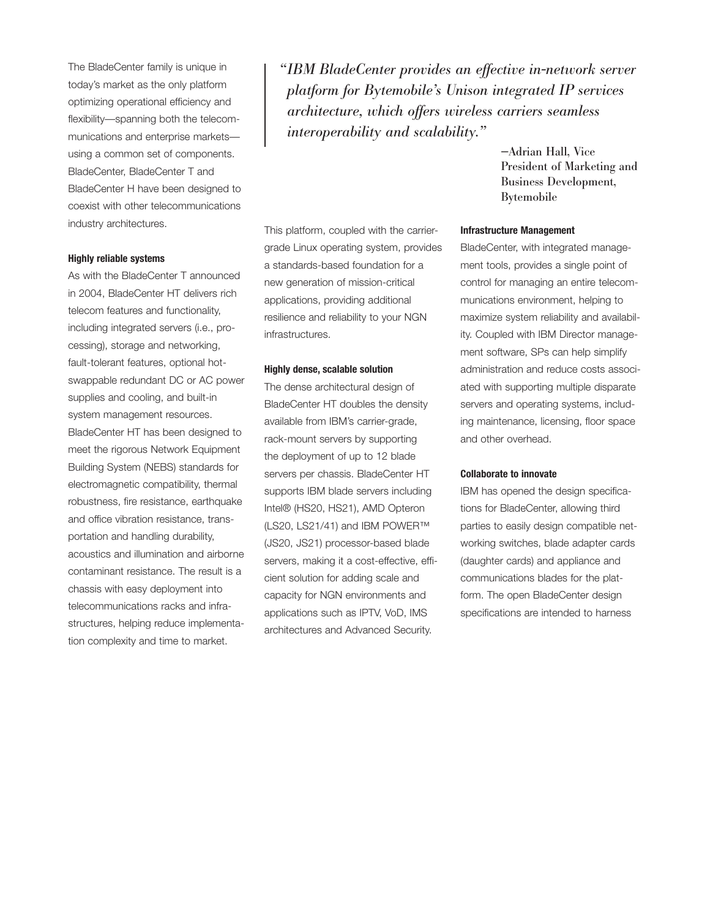The BladeCenter family is unique in today's market as the only platform optimizing operational efficiency and flexibility—spanning both the telecommunications and enterprise markets using a common set of components. BladeCenter, BladeCenter T and BladeCenter H have been designed to coexist with other telecommunications industry architectures.

#### **Highly reliable systems**

As with the BladeCenter T announced in 2004, BladeCenter HT delivers rich telecom features and functionality, including integrated servers (i.e., processing), storage and networking, fault-tolerant features, optional hotswappable redundant DC or AC power supplies and cooling, and built-in system management resources. BladeCenter HT has been designed to meet the rigorous Network Equipment Building System (NEBS) standards for electromagnetic compatibility, thermal robustness, fire resistance, earthquake and office vibration resistance, transportation and handling durability, acoustics and illumination and airborne contaminant resistance. The result is a chassis with easy deployment into telecommunications racks and infrastructures, helping reduce implementation complexity and time to market.

*"IBM BladeCenter provides an effective in-network server platform for Bytemobile's Unison integrated IP services architecture, which offers wireless carriers seamless interoperability and scalability."*

This platform, coupled with the carriergrade Linux operating system, provides a standards-based foundation for a new generation of mission-critical applications, providing additional resilience and reliability to your NGN infrastructures.

#### **Highly dense, scalable solution**

The dense architectural design of BladeCenter HT doubles the density available from IBM's carrier-grade, rack-mount servers by supporting the deployment of up to 12 blade servers per chassis. BladeCenter HT supports IBM blade servers including Intel® (HS20, HS21), AMD Opteron (LS20, LS21/41) and IBM POWER™ (JS20, JS21) processor-based blade servers, making it a cost-effective, efficient solution for adding scale and capacity for NGN environments and applications such as IPTV, VoD, IMS architectures and Advanced Security.

—Adrian Hall, Vice President of Marketing and Business Development, Bytemobile

#### **Infrastructure Management**

BladeCenter, with integrated management tools, provides a single point of control for managing an entire telecommunications environment, helping to maximize system reliability and availability. Coupled with IBM Director management software, SPs can help simplify administration and reduce costs associated with supporting multiple disparate servers and operating systems, including maintenance, licensing, floor space and other overhead.

#### **Collaborate to innovate**

IBM has opened the design specifications for BladeCenter, allowing third parties to easily design compatible networking switches, blade adapter cards (daughter cards) and appliance and communications blades for the platform. The open BladeCenter design specifications are intended to harness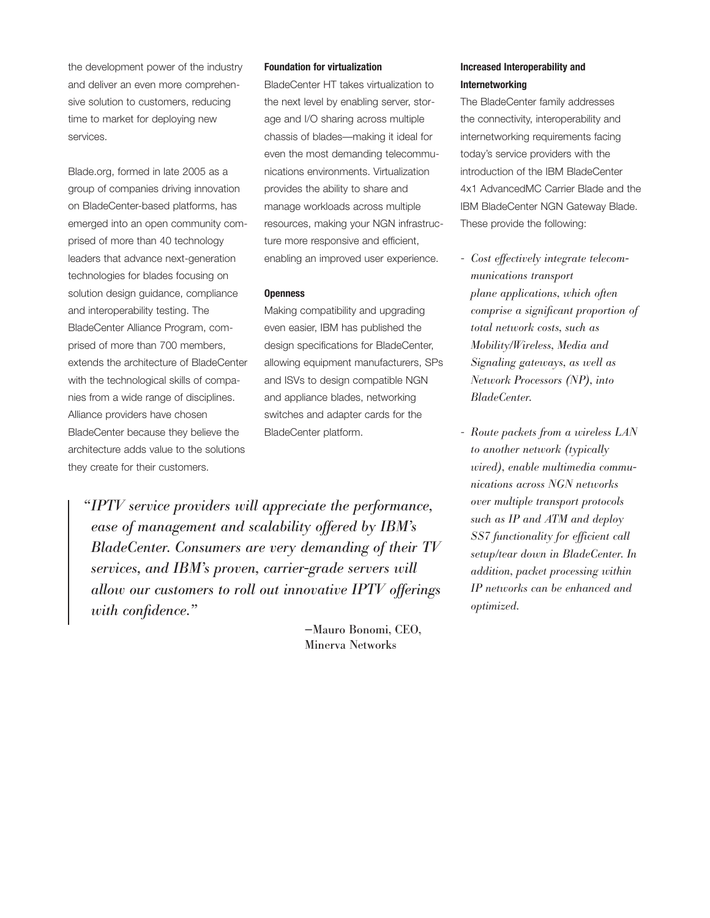the development power of the industry and deliver an even more comprehensive solution to customers, reducing time to market for deploying new services.

Blade.org, formed in late 2005 as a group of companies driving innovation on BladeCenter-based platforms, has emerged into an open community comprised of more than 40 technology leaders that advance next-generation technologies for blades focusing on solution design guidance, compliance and interoperability testing. The BladeCenter Alliance Program, comprised of more than 700 members, extends the architecture of BladeCenter with the technological skills of companies from a wide range of disciplines. Alliance providers have chosen BladeCenter because they believe the architecture adds value to the solutions they create for their customers.

#### **Foundation for virtualization**

BladeCenter HT takes virtualization to the next level by enabling server, storage and I/O sharing across multiple chassis of blades—making it ideal for even the most demanding telecommunications environments. Virtualization provides the ability to share and manage workloads across multiple resources, making your NGN infrastructure more responsive and efficient, enabling an improved user experience.

#### **Openness**

Making compatibility and upgrading even easier, IBM has published the design specifications for BladeCenter, allowing equipment manufacturers, SPs and ISVs to design compatible NGN and appliance blades, networking switches and adapter cards for the BladeCenter platform.

*"IPTV service providers will appreciate the performance, ease of management and scalability offered by IBM's BladeCenter. Consumers are very demanding of their TV services, and IBM's proven, carrier-grade servers will allow our customers to roll out innovative IPTV offerings with confidence."*

> —Mauro Bonomi, CEO, Minerva Networks

### **Increased Interoperability and Internetworking**

The BladeCenter family addresses the connectivity, interoperability and internetworking requirements facing today's service providers with the introduction of the IBM BladeCenter 4x1 AdvancedMC Carrier Blade and the IBM BladeCenter NGN Gateway Blade. These provide the following:

- *Cost effectively integrate telecommunications transport plane applications, which often comprise a significant proportion of total network costs, such as Mobility/Wireless, Media and Signaling gateways, as well as Network Processors (NP), into BladeCenter.*
- *Route packets from a wireless LAN to another network (typically wired), enable multimedia communications across NGN networks over multiple transport protocols such as IP and ATM and deploy SS7 functionality for efficient call setup/tear down in BladeCenter. In addition, packet processing within IP networks can be enhanced and optimized.*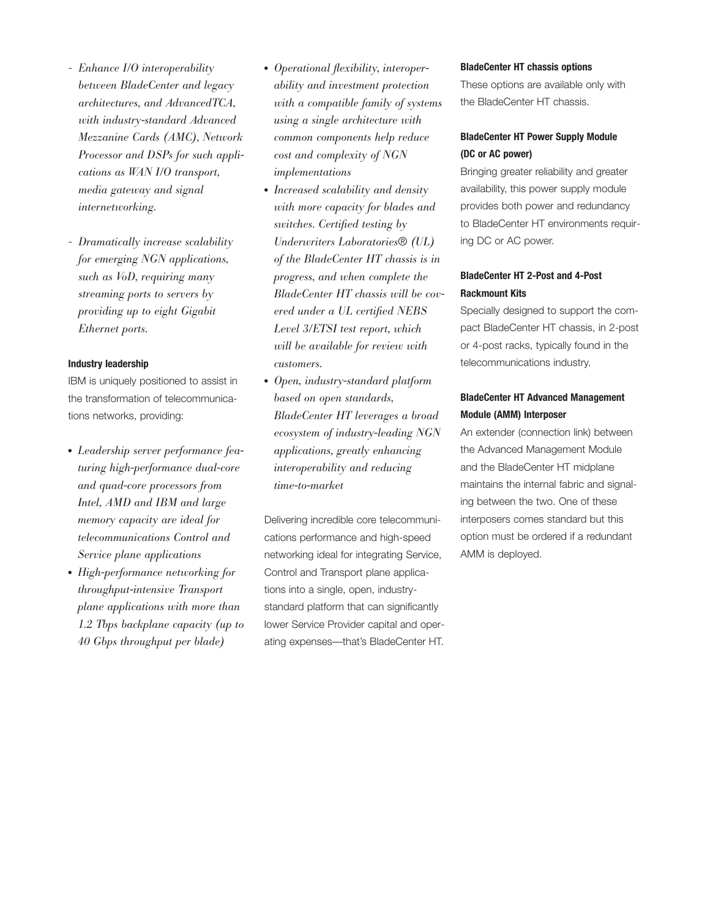- *Enhance I/O interoperability between BladeCenter and legacy architectures, and AdvancedTCA, with industry-standard Advanced Mezzanine Cards (AMC), Network Processor and DSPs for such applications as WAN I/O transport, media gateway and signal internetworking.*
- *Dramatically increase scalability for emerging NGN applications, such as VoD, requiring many streaming ports to servers by providing up to eight Gigabit Ethernet ports.*

### **Industry leadership**

IBM is uniquely positioned to assist in the transformation of telecommunications networks, providing:

- *Leadership server performance featuring high-performance dual-core and quad-core processors from Intel, AMD and IBM and large memory capacity are ideal for telecommunications Control and Service plane applications*
- *High-performance networking for throughput-intensive Transport plane applications with more than 1.2 Tbps backplane capacity (up to 40 Gbps throughput per blade)*
- *Operational flexibility, interoperability and investment protection with a compatible family of systems using a single architecture with common components help reduce cost and complexity of NGN implementations*
- *Increased scalability and density with more capacity for blades and switches. Certified testing by Underwriters Laboratories*® *(UL) of the BladeCenter HT chassis is in progress, and when complete the BladeCenter HT chassis will be covered under a UL certified NEBS Level 3/ETSI test report, which will be available for review with customers.*
- *Open, industry-standard platform based on open standards, BladeCenter HT leverages a broad ecosystem of industry-leading NGN applications, greatly enhancing interoperability and reducing time-to-market*

Delivering incredible core telecommunications performance and high-speed networking ideal for integrating Service, Control and Transport plane applications into a single, open, industrystandard platform that can significantly lower Service Provider capital and operating expenses—that's BladeCenter HT.

#### **BladeCenter HT chassis options**

These options are available only with the BladeCenter HT chassis.

### **BladeCenter HT Power Supply Module (DC or AC power)**

Bringing greater reliability and greater availability, this power supply module provides both power and redundancy to BladeCenter HT environments requiring DC or AC power.

### **BladeCenter HT 2-Post and 4-Post Rackmount Kits**

Specially designed to support the compact BladeCenter HT chassis, in 2-post or 4-post racks, typically found in the telecommunications industry.

### **BladeCenter HT Advanced Management Module (AMM) Interposer**

An extender (connection link) between the Advanced Management Module and the BladeCenter HT midplane maintains the internal fabric and signaling between the two. One of these interposers comes standard but this option must be ordered if a redundant AMM is deployed.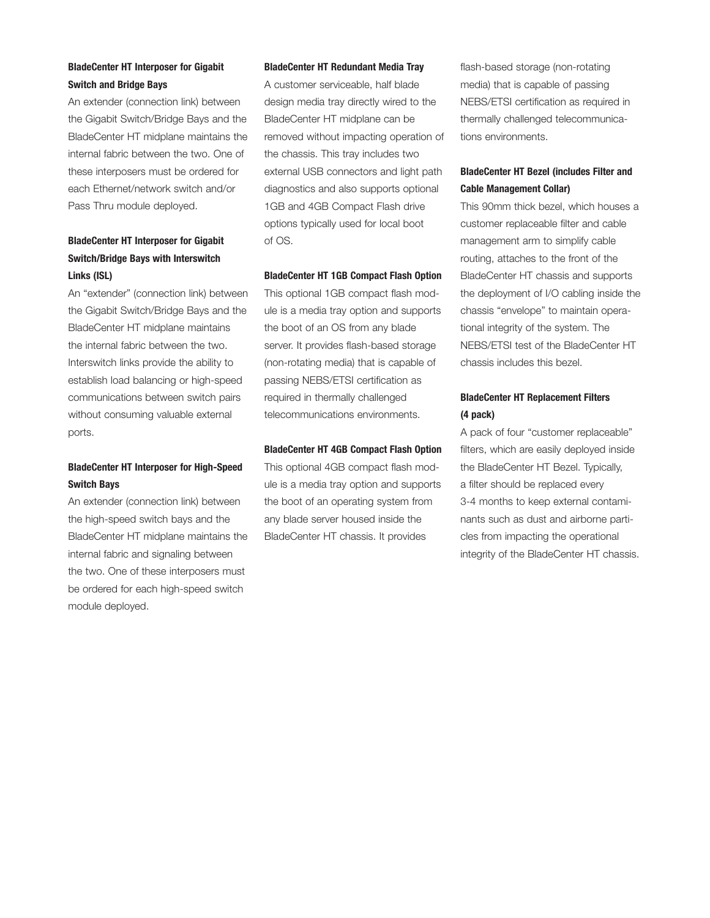### **BladeCenter HT Interposer for Gigabit Switch and Bridge Bays**

An extender (connection link) between the Gigabit Switch/Bridge Bays and the BladeCenter HT midplane maintains the internal fabric between the two. One of these interposers must be ordered for each Ethernet/network switch and/or Pass Thru module deployed.

## **BladeCenter HT Interposer for Gigabit Switch/Bridge Bays with Interswitch Links (ISL)**

An "extender" (connection link) between the Gigabit Switch/Bridge Bays and the BladeCenter HT midplane maintains the internal fabric between the two. Interswitch links provide the ability to establish load balancing or high-speed communications between switch pairs without consuming valuable external ports.

### **BladeCenter HT Interposer for High-Speed Switch Bays**

An extender (connection link) between the high-speed switch bays and the BladeCenter HT midplane maintains the internal fabric and signaling between the two. One of these interposers must be ordered for each high-speed switch module deployed.

#### **BladeCenter HT Redundant Media Tray**

A customer serviceable, half blade design media tray directly wired to the BladeCenter HT midplane can be removed without impacting operation of the chassis. This tray includes two external USB connectors and light path diagnostics and also supports optional 1GB and 4GB Compact Flash drive options typically used for local boot of OS.

#### **BladeCenter HT 1GB Compact Flash Option**

This optional 1GB compact flash module is a media tray option and supports the boot of an OS from any blade server. It provides flash-based storage (non-rotating media) that is capable of passing NEBS/ETSI certification as required in thermally challenged telecommunications environments.

#### **BladeCenter HT 4GB Compact Flash Option**

This optional 4GB compact flash module is a media tray option and supports the boot of an operating system from any blade server housed inside the BladeCenter HT chassis. It provides

flash-based storage (non-rotating media) that is capable of passing NEBS/ETSI certification as required in thermally challenged telecommunications environments.

### **BladeCenter HT Bezel (includes Filter and Cable Management Collar)**

This 90mm thick bezel, which houses a customer replaceable filter and cable management arm to simplify cable routing, attaches to the front of the BladeCenter HT chassis and supports the deployment of I/O cabling inside the chassis "envelope" to maintain operational integrity of the system. The NEBS/ETSI test of the BladeCenter HT chassis includes this bezel.

### **BladeCenter HT Replacement Filters (4 pack)**

A pack of four "customer replaceable" filters, which are easily deployed inside the BladeCenter HT Bezel. Typically, a filter should be replaced every 3-4 months to keep external contaminants such as dust and airborne particles from impacting the operational integrity of the BladeCenter HT chassis.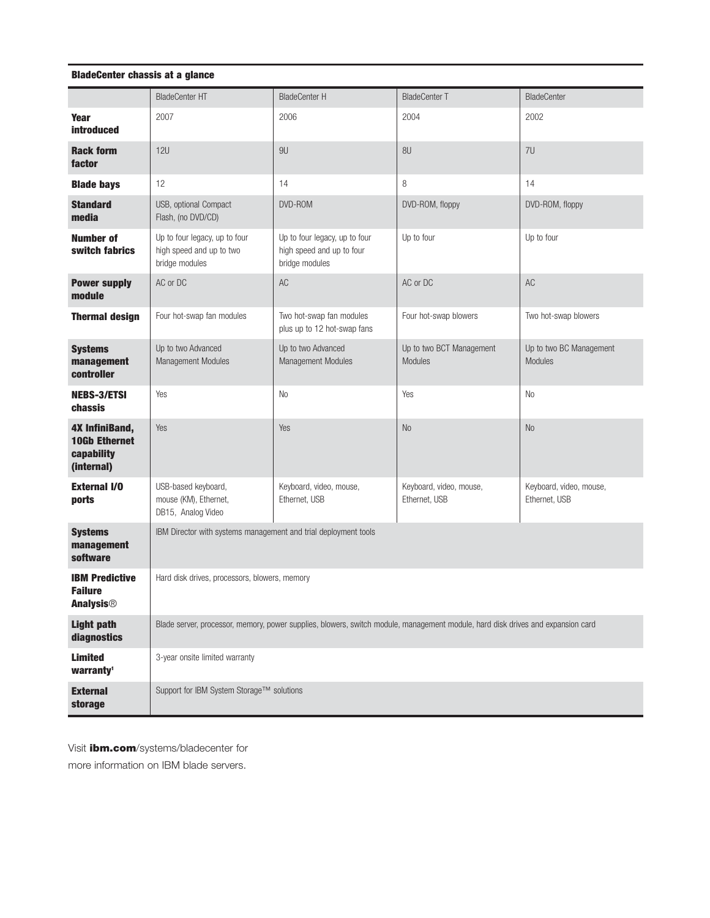### **BladeCenter chassis at a glance**

|                                                                           | <b>BladeCenter HT</b>                                                                                                           | <b>BladeCenter H</b>                                                         | <b>BladeCenter T</b>                     | <b>BladeCenter</b>                       |
|---------------------------------------------------------------------------|---------------------------------------------------------------------------------------------------------------------------------|------------------------------------------------------------------------------|------------------------------------------|------------------------------------------|
| <b>Year</b><br><b>introduced</b>                                          | 2007                                                                                                                            | 2006                                                                         | 2004                                     | 2002                                     |
| <b>Rack form</b><br>factor                                                | <b>12U</b>                                                                                                                      | 9U                                                                           | 8U                                       | 7U                                       |
| <b>Blade bays</b>                                                         | 12                                                                                                                              | 14                                                                           | 8                                        | 14                                       |
| <b>Standard</b><br>media                                                  | USB, optional Compact<br>Flash, (no DVD/CD)                                                                                     | DVD-ROM                                                                      | DVD-ROM, floppy                          | DVD-ROM, floppy                          |
| <b>Number of</b><br>switch fabrics                                        | Up to four legacy, up to four<br>high speed and up to two<br>bridge modules                                                     | Up to four legacy, up to four<br>high speed and up to four<br>bridge modules | Up to four                               | Up to four                               |
| <b>Power supply</b><br>module                                             | AC or DC                                                                                                                        | AC                                                                           | AC or DC                                 | AC                                       |
| <b>Thermal design</b>                                                     | Four hot-swap fan modules                                                                                                       | Two hot-swap fan modules<br>plus up to 12 hot-swap fans                      | Four hot-swap blowers                    | Two hot-swap blowers                     |
| <b>Systems</b><br>management<br>controller                                | Up to two Advanced<br>Management Modules                                                                                        | Up to two Advanced<br>Management Modules                                     | Up to two BCT Management<br>Modules      | Up to two BC Management<br>Modules       |
| <b>NEBS-3/ETSI</b><br>chassis                                             | Yes                                                                                                                             | No                                                                           | Yes                                      | No                                       |
| <b>4X InfiniBand,</b><br><b>10Gb Ethernet</b><br>capability<br>(internal) | Yes                                                                                                                             | Yes                                                                          | N <sub>0</sub>                           | N <sub>0</sub>                           |
| <b>External I/O</b><br>ports                                              | USB-based keyboard,<br>mouse (KM), Ethernet,<br>DB15, Analog Video                                                              | Keyboard, video, mouse,<br>Ethernet, USB                                     | Keyboard, video, mouse,<br>Ethernet, USB | Keyboard, video, mouse,<br>Ethernet, USB |
| <b>Systems</b><br>management<br>software                                  | IBM Director with systems management and trial deployment tools                                                                 |                                                                              |                                          |                                          |
| <b>IBM Predictive</b><br><b>Failure</b><br><b>Analysis<sup>®</sup></b>    | Hard disk drives, processors, blowers, memory                                                                                   |                                                                              |                                          |                                          |
| <b>Light path</b><br>diagnostics                                          | Blade server, processor, memory, power supplies, blowers, switch module, management module, hard disk drives and expansion card |                                                                              |                                          |                                          |
| <b>Limited</b><br>warranty <sup>1</sup>                                   | 3-year onsite limited warranty                                                                                                  |                                                                              |                                          |                                          |
| <b>External</b><br>storage                                                | Support for IBM System Storage™ solutions                                                                                       |                                                                              |                                          |                                          |

Visit **ibm.com**/systems/bladecenter for

more information on IBM blade servers.